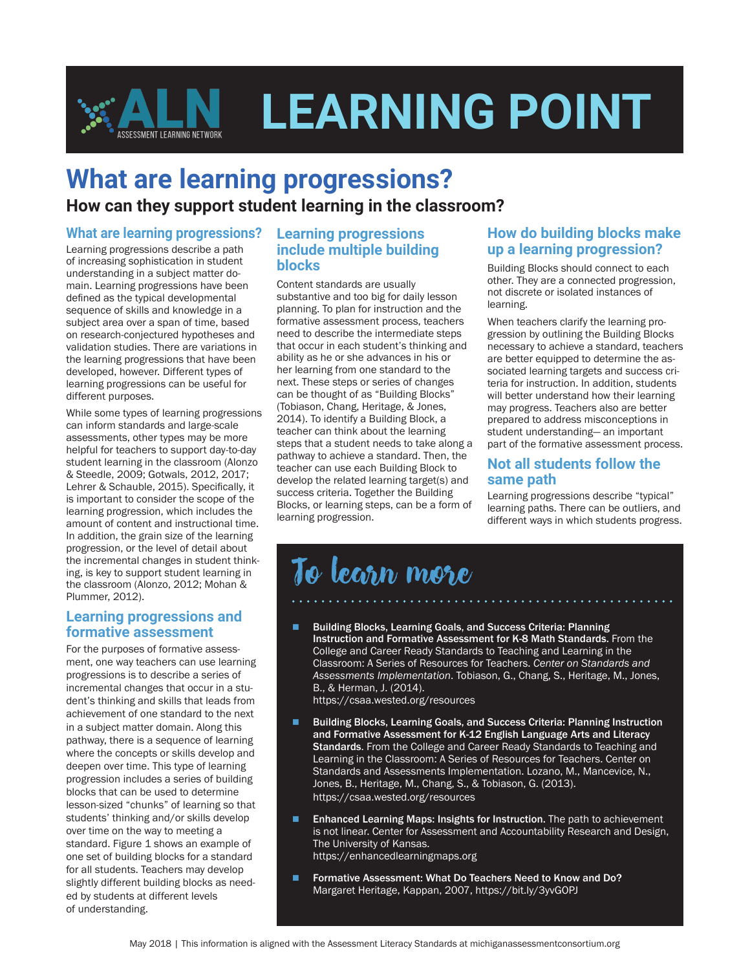

## **What are learning progressions?**

**How can they support student learning in the classroom?**

#### **What are learning progressions?**

Learning progressions describe a path of increasing sophistication in student understanding in a subject matter domain. Learning progressions have been defined as the typical developmental sequence of skills and knowledge in a subject area over a span of time, based on research-conjectured hypotheses and validation studies. There are variations in the learning progressions that have been developed, however. Different types of learning progressions can be useful for different purposes.

While some types of learning progressions can inform standards and large-scale assessments, other types may be more helpful for teachers to support day-to-day student learning in the classroom (Alonzo & Steedle, 2009; Gotwals, 2012, 2017; Lehrer & Schauble, 2015). Specifically, it is important to consider the scope of the learning progression, which includes the amount of content and instructional time. In addition, the grain size of the learning progression, or the level of detail about the incremental changes in student thinking, is key to support student learning in the classroom (Alonzo, 2012; Mohan & Plummer, 2012).

#### **Learning progressions and formative assessment**

For the purposes of formative assessment, one way teachers can use learning progressions is to describe a series of incremental changes that occur in a student's thinking and skills that leads from achievement of one standard to the next in a subject matter domain. Along this pathway, there is a sequence of learning where the concepts or skills develop and deepen over time. This type of learning progression includes a series of building blocks that can be used to determine lesson-sized "chunks" of learning so that students' thinking and/or skills develop over time on the way to meeting a standard. Figure 1 shows an example of one set of building blocks for a standard for all students. Teachers may develop slightly different building blocks as needed by students at different levels of understanding.

#### **Learning progressions include multiple building blocks**

Content standards are usually substantive and too big for daily lesson planning. To plan for instruction and the formative assessment process, teachers need to describe the intermediate steps that occur in each student's thinking and ability as he or she advances in his or her learning from one standard to the next. These steps or series of changes can be thought of as "Building Blocks" (Tobiason, Chang, Heritage, & Jones, 2014). To identify a Building Block, a teacher can think about the learning steps that a student needs to take along a pathway to achieve a standard. Then, the teacher can use each Building Block to develop the related learning target(s) and success criteria. Together the Building Blocks, or learning steps, can be a form of learning progression.

#### **How do building blocks make up a learning progression?**

Building Blocks should connect to each other. They are a connected progression, not discrete or isolated instances of learning.

When teachers clarify the learning progression by outlining the Building Blocks necessary to achieve a standard, teachers are better equipped to determine the associated learning targets and success criteria for instruction. In addition, students will better understand how their learning may progress. Teachers also are better prepared to address misconceptions in student understanding— an important part of the formative assessment process.

#### **Not all students follow the same path**

Learning progressions describe "typical" learning paths. There can be outliers, and different ways in which students progress.

# To learn more

n Building Blocks, Learning Goals, and Success Criteria: Planning Instruction and Formative Assessment for K-8 Math Standards. From the College and Career Ready Standards to Teaching and Learning in the Classroom: A Series of Resources for Teachers. *Center on Standards and Assessments Implementation*. Tobiason, G., Chang, S., Heritage, M., Jones, B., & Herman, J. (2014).

https://csaa.wested.org/resources

- Building Blocks, Learning Goals, and Success Criteria: Planning Instruction and Formative Assessment for K-12 English Language Arts and Literacy Standards. From the College and Career Ready Standards to Teaching and Learning in the Classroom: A Series of Resources for Teachers. Center on Standards and Assessments Implementation. Lozano, M., Mancevice, N., Jones, B., Heritage, M., Chang, S., & Tobiason, G. (2013). https://csaa.wested.org/resources
- **n** Enhanced Learning Maps: Insights for Instruction. The path to achievement is not linear. Center for Assessment and Accountability Research and Design, The University of Kansas. https://enhancedlearningmaps.org
- Formative Assessment: What Do Teachers Need to Know and Do? Margaret Heritage, Kappan, 2007, https://bit.ly/3yvGOPJ